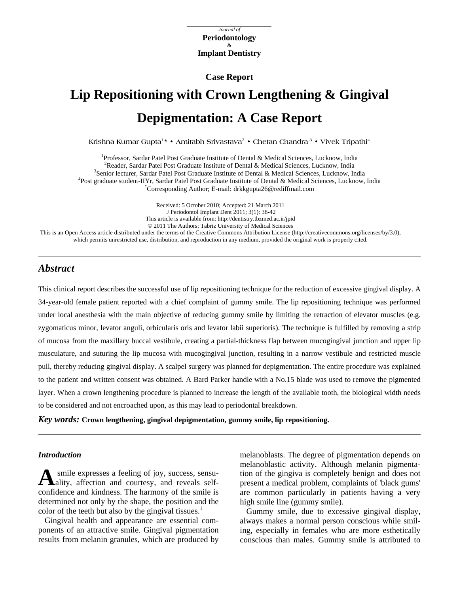*Journal of*  **Periodontology & Implant Dentistry**

**Case Report** 

# **Lip Repositioning with Crown Lengthening & Gingival Depigmentation: A Case Report**

**Krishna Kumar Gupta1\* • Amitabh Srivastava2 • Chetan Chandra 3 • Vivek Tripathi4**

<sup>1</sup>Professor, Sardar Patel Post Graduate Institute of Dental & Medical Sciences, Lucknow, India <sup>2</sup> Peoder, Sardar Patel Post Graduate Institute of Dental & Medical Sciences, Lucknow, India <sup>2</sup> Reader, Sardar Patel Post Graduate Institute of Dental & Medical Sciences, Lucknow, India <sup>3</sup>Senior lecturer, Sardar Patel Post Graduate Institute of Dental & Medical Sciences, Lucknow, India <sup>4</sup>Post graduate student-IIYr, Sardar Patel Post Graduate Institute of Dental & Medical Sciences, Lucknow, India Corresponding Author; E-mail: drkkgupta26@rediffmail.com

Received: 5 October 2010; Accepted: 21 March 2011 J Periodontol Implant Dent 2011; 3(1): 38-42 This article is available from: http://dentistry.tbzmed.ac.ir/jpid © 2011 The Authors; Tabriz University of Medical Sciences This is an Open Access article distributed under the terms of the Creative Commons Attribution License (http://creativecommons.org/licenses/by/3.0), which permits unrestricted use, distribution, and reproduction in any medium, provided the original work is properly cited.

## *Abstract*

This clinical report describes the successful use of lip repositioning technique for the reduction of excessive gingival display. A 34-year-old female patient reported with a chief complaint of gummy smile. The lip repositioning technique was performed under local anesthesia with the main objective of reducing gummy smile by limiting the retraction of elevator muscles (e.g. zygomaticus minor, levator anguli, orbicularis oris and levator labii superioris). The technique is fulfilled by removing a strip of mucosa from the maxillary buccal vestibule, creating a partial-thickness flap between mucogingival junction and upper lip musculature, and suturing the lip mucosa with mucogingival junction, resulting in a narrow vestibule and restricted muscle pull, thereby reducing gingival display. A scalpel surgery was planned for depigmentation. The entire procedure was explained to the patient and written consent was obtained. A Bard Parker handle with a No.15 blade was used to remove the pigmented layer. When a crown lengthening procedure is planned to increase the length of the available tooth, the biological width needs to be considered and not encroached upon, as this may lead to periodontal breakdown.

*Key words:* **Crown lengthening, gingival depigmentation, gummy smile, lip repositioning.** 

#### *Introduction*

A smile expresses a feeling of joy, success, sensu-<br>ality, affection and courtesy, and reveals selfality, affection and courtesy, and reveals selfconfidence and kindness. The harmony of the smile is determined not only by the shape, the position and the color of the teeth but also by the gingival tissues. $1$ 

Gingival health and appearance are essential components of an attractive smile. Gingival pigmentation results from melanin granules, which are produced by

melanoblasts. The degree of pigmentation depends on melanoblastic activity. Although melanin pigmentation of the gingiva is completely benign and does not present a medical problem, complaints of 'black gums' are common particularly in patients having a very high smile line (gummy smile).

Gummy smile, due to excessive gingival display, always makes a normal person conscious while smiling, especially in females who are more esthetically conscious than males. Gummy smile is attributed to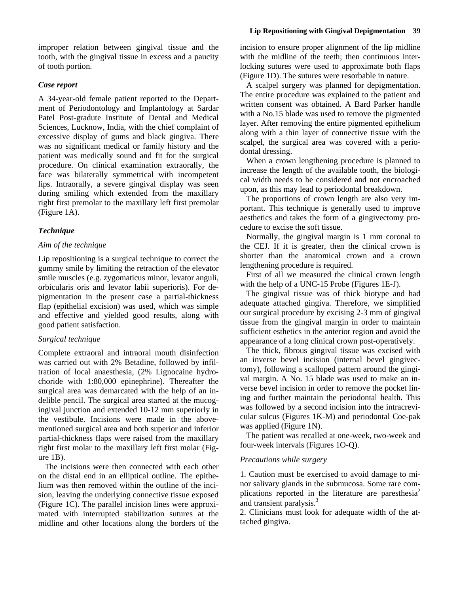improper relation between gingival tissue and the tooth, with the gingival tissue in excess and a paucity of tooth portion.

## *Case report*

A 34-year-old female patient reported to the Department of Periodontology and Implantology at Sardar Patel Post-gradute Institute of Dental and Medical Sciences, Lucknow, India, with the chief complaint of excessive display of gums and black gingiva. There was no significant medical or family history and the patient was medically sound and fit for the surgical procedure. On clinical examination extraorally, the face was bilaterally symmetrical with incompetent lips. Intraorally, a severe gingival display was seen during smiling which extended from the maxillary right first premolar to the maxillary left first premolar (Figure 1A).

## *Technique*

## *Aim of the technique*

Lip repositioning is a surgical technique to correct the gummy smile by limiting the retraction of the elevator smile muscles (e.g. zygomaticus minor, levator anguli, orbicularis oris and levator labii superioris). For depigmentation in the present case a partial-thickness flap (epithelial excision) was used, which was simple and effective and yielded good results, along with good patient satisfaction.

## *Surgical technique*

Complete extraoral and intraoral mouth disinfection was carried out with 2% Betadine, followed by infiltration of local anaesthesia, (2% Lignocaine hydrochoride with 1:80,000 epinephrine). Thereafter the surgical area was demarcated with the help of an indelible pencil. The surgical area started at the mucogingival junction and extended 10-12 mm superiorly in the vestibule. Incisions were made in the abovementioned surgical area and both superior and inferior partial-thickness flaps were raised from the maxillary right first molar to the maxillary left first molar (Figure 1B).

The incisions were then connected with each other on the distal end in an elliptical outline. The epithelium was then removed within the outline of the incision, leaving the underlying connective tissue exposed (Figure 1C). The parallel incision lines were approximated with interrupted stabilization sutures at the midline and other locations along the borders of the

#### **Lip Repositioning with Gingival Depigmentation 39**

incision to ensure proper alignment of the lip midline with the midline of the teeth; then continuous interlocking sutures were used to approximate both flaps (Figure 1D). The sutures were resorbable in nature.

A scalpel surgery was planned for depigmentation. The entire procedure was explained to the patient and written consent was obtained. A Bard Parker handle with a No.15 blade was used to remove the pigmented layer. After removing the entire pigmented epithelium along with a thin layer of connective tissue with the scalpel, the surgical area was covered with a periodontal dressing.

When a crown lengthening procedure is planned to increase the length of the available tooth, the biological width needs to be considered and not encroached upon, as this may lead to periodontal breakdown.

The proportions of crown length are also very important. This technique is generally used to improve aesthetics and takes the form of a gingivectomy procedure to excise the soft tissue.

Normally, the gingival margin is 1 mm coronal to the CEJ. If it is greater, then the clinical crown is shorter than the anatomical crown and a crown lengthening procedure is required.

First of all we measured the clinical crown length with the help of a UNC-15 Probe (Figures 1E-J).

The gingival tissue was of thick biotype and had adequate attached gingiva. Therefore, we simplified our surgical procedure by excising 2-3 mm of gingival tissue from the gingival margin in order to maintain sufficient esthetics in the anterior region and avoid the appearance of a long clinical crown post-operatively.

The thick, fibrous gingival tissue was excised with an inverse bevel incision (internal bevel gingivectomy), following a scalloped pattern around the gingival margin. A No. 15 blade was used to make an inverse bevel incision in order to remove the pocket lining and further maintain the periodontal health. This was followed by a second incision into the intracrevicular sulcus (Figures 1K-M) and periodontal Coe-pak was applied (Figure 1N).

The patient was recalled at one-week, two-week and four-week intervals (Figures 1O-Q).

## *Precautions while surgery*

1. Caution must be exercised to avoid damage to minor salivary glands in the submucosa. Some rare complications reported in the literature are paresthesia<sup>2</sup> and transient paralysis.<sup>3</sup>

2. Clinicians must look for adequate width of the attached gingiva.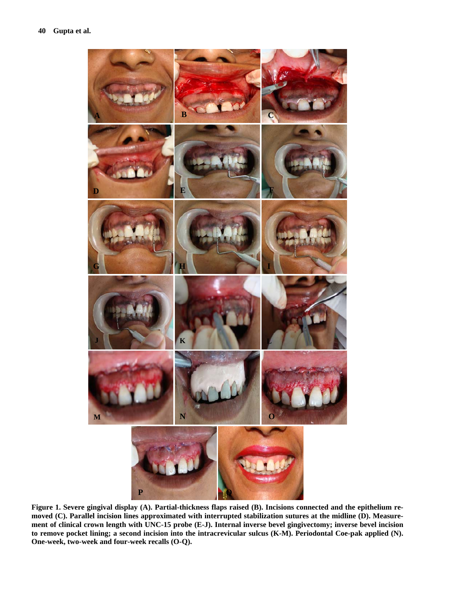

**Figure 1. Severe gingival display (A). Partial-thickness flaps raised (B). Incisions connected and the epithelium removed (C). Parallel incision lines approximated with interrupted stabilization sutures at the midline (D). Measurement of clinical crown length with UNC-15 probe (E-J). Internal inverse bevel gingivectomy; inverse bevel incision to remove pocket lining; a second incision into the intracrevicular sulcus (K-M). Periodontal Coe-pak applied (N). One-week, two-week and four-week recalls (O-Q).**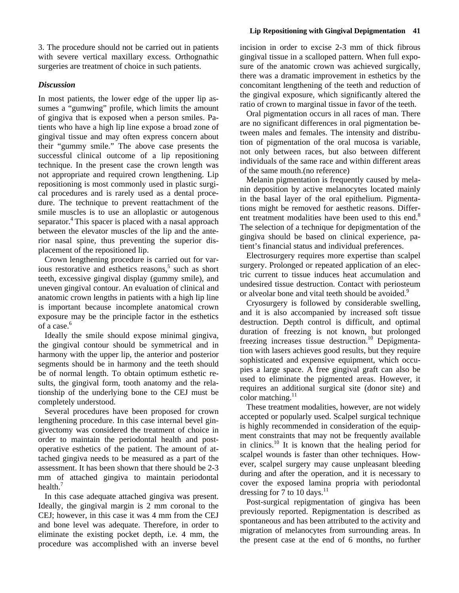3. The procedure should not be carried out in patients with severe vertical maxillary excess. Orthognathic surgeries are treatment of choice in such patients.

## *Discussion*

In most patients, the lower edge of the upper lip assumes a "gumwing" profile, which limits the amount of gingiva that is exposed when a person smiles. Patients who have a high lip line expose a broad zone of gingival tissue and may often express concern about their "gummy smile." The above case presents the successful clinical outcome of a lip repositioning technique. In the present case the crown length was not appropriate and required crown lengthening. Lip repositioning is most commonly used in plastic surgical procedures and is rarely used as a dental procedure. The technique to prevent reattachment of the smile muscles is to use an alloplastic or autogenous separator.<sup>4</sup> This spacer is placed with a nasal approach between the elevator muscles of the lip and the anterior nasal spine, thus preventing the superior displacement of the repositioned lip.

Crown lengthening procedure is carried out for various restorative and esthetics reasons,<sup>5</sup> such as short teeth, excessive gingival display (gummy smile), and uneven gingival contour. An evaluation of clinical and anatomic crown lengths in patients with a high lip line is important because incomplete anatomical crown exposure may be the principle factor in the esthetics of a case. $6$ 

Ideally the smile should expose minimal gingiva, the gingival contour should be symmetrical and in harmony with the upper lip, the anterior and posterior segments should be in harmony and the teeth should be of normal length. To obtain optimum esthetic results, the gingival form, tooth anatomy and the relationship of the underlying bone to the CEJ must be completely understood.

Several procedures have been proposed for crown lengthening procedure. In this case internal bevel gingivectomy was considered the treatment of choice in order to maintain the periodontal health and postoperative esthetics of the patient. The amount of attached gingiva needs to be measured as a part of the assessment. It has been shown that there should be 2-3 mm of attached gingiva to maintain periodontal health. $<sup>7</sup>$ </sup>

In this case adequate attached gingiva was present. Ideally, the gingival margin is 2 mm coronal to the CEJ; however, in this case it was 4 mm from the CEJ and bone level was adequate. Therefore, in order to eliminate the existing pocket depth, i.e. 4 mm, the procedure was accomplished with an inverse bevel

incision in order to excise 2-3 mm of thick fibrous gingival tissue in a scalloped pattern. When full exposure of the anatomic crown was achieved surgically, there was a dramatic improvement in esthetics by the concomitant lengthening of the teeth and reduction of the gingival exposure, which significantly altered the ratio of crown to marginal tissue in favor of the teeth.

Oral pigmentation occurs in all races of man. There are no significant differences in oral pigmentation between males and females. The intensity and distribution of pigmentation of the oral mucosa is variable, not only between races, but also between different individuals of the same race and within different areas of the same mouth.(no reference)

Melanin pigmentation is frequently caused by melanin deposition by active melanocytes located mainly in the basal layer of the oral epithelium. Pigmentations might be removed for aesthetic reasons. Different treatment modalities have been used to this end.<sup>8</sup> The selection of a technique for depigmentation of the gingiva should be based on clinical experience, patient's financial status and individual preferences.

Electrosurgery requires more expertise than scalpel surgery. Prolonged or repeated application of an electric current to tissue induces heat accumulation and undesired tissue destruction. Contact with periosteum or alveolar bone and vital teeth should be avoided.<sup>9</sup>

Cryosurgery is followed by considerable swelling, and it is also accompanied by increased soft tissue destruction. Depth control is difficult, and optimal duration of freezing is not known, but prolonged freezing increases tissue destruction.<sup>10</sup> Depigmentation with lasers achieves good results, but they require sophisticated and expensive equipment, which occupies a large space. A free gingival graft can also be used to eliminate the pigmented areas. However, it requires an additional surgical site (donor site) and color matching. $11$ 

These treatment modalities, however, are not widely accepted or popularly used. Scalpel surgical technique is highly recommended in consideration of the equipment constraints that may not be frequently available in clinics.10 It is known that the healing period for scalpel wounds is faster than other techniques. However, scalpel surgery may cause unpleasant bleeding during and after the operation, and it is necessary to cover the exposed lamina propria with periodontal dressing for 7 to 10 days.<sup>11</sup>

Post-surgical repigmentation of gingiva has been previously reported. Repigmentation is described as spontaneous and has been attributed to the activity and migration of melanocytes from surrounding areas. In the present case at the end of 6 months, no further